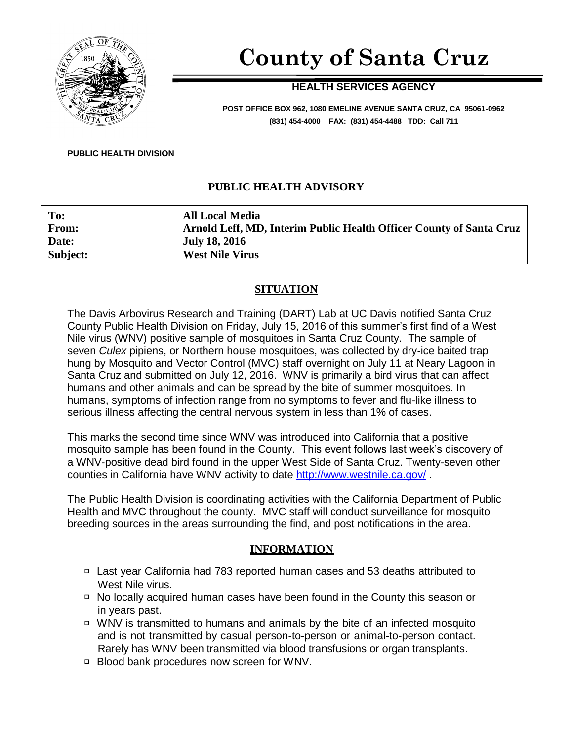

# **County of Santa Cruz**

## **HEALTH SERVICES AGENCY**

**POST OFFICE BOX 962, 1080 EMELINE AVENUE SANTA CRUZ, CA 95061-0962 (831) 454-4000 FAX: (831) 454-4488 TDD: Call 711**

#### **PUBLIC HEALTH DIVISION**

## **PUBLIC HEALTH ADVISORY**

| To:      | <b>All Local Media</b>                                              |
|----------|---------------------------------------------------------------------|
| From:    | Arnold Leff, MD, Interim Public Health Officer County of Santa Cruz |
| Date:    | <b>July 18, 2016</b>                                                |
| Subject: | <b>West Nile Virus</b>                                              |

## **SITUATION**

The Davis Arbovirus Research and Training (DART) Lab at UC Davis notified Santa Cruz County Public Health Division on Friday, July 15, 2016 of this summer's first find of a West Nile virus (WNV) positive sample of mosquitoes in Santa Cruz County. The sample of seven *Culex* pipiens, or Northern house mosquitoes, was collected by dry-ice baited trap hung by Mosquito and Vector Control (MVC) staff overnight on July 11 at Neary Lagoon in Santa Cruz and submitted on July 12, 2016. WNV is primarily a bird virus that can affect humans and other animals and can be spread by the bite of summer mosquitoes. In humans, symptoms of infection range from no symptoms to fever and flu-like illness to serious illness affecting the central nervous system in less than 1% of cases.

This marks the second time since WNV was introduced into California that a positive mosquito sample has been found in the County. This event follows last week's discovery of a WNV-positive dead bird found in the upper West Side of Santa Cruz. Twenty-seven other counties in California have WNV activity to date<http://www.westnile.ca.gov/> .

The Public Health Division is coordinating activities with the California Department of Public Health and MVC throughout the county. MVC staff will conduct surveillance for mosquito breeding sources in the areas surrounding the find, and post notifications in the area.

#### **INFORMATION**

- Last year California had 783 reported human cases and 53 deaths attributed to West Nile virus.
- No locally acquired human cases have been found in the County this season or in years past.
- WNV is transmitted to humans and animals by the bite of an infected mosquito and is not transmitted by casual person-to-person or animal-to-person contact. Rarely has WNV been transmitted via blood transfusions or organ transplants.
- □ Blood bank procedures now screen for WNV.